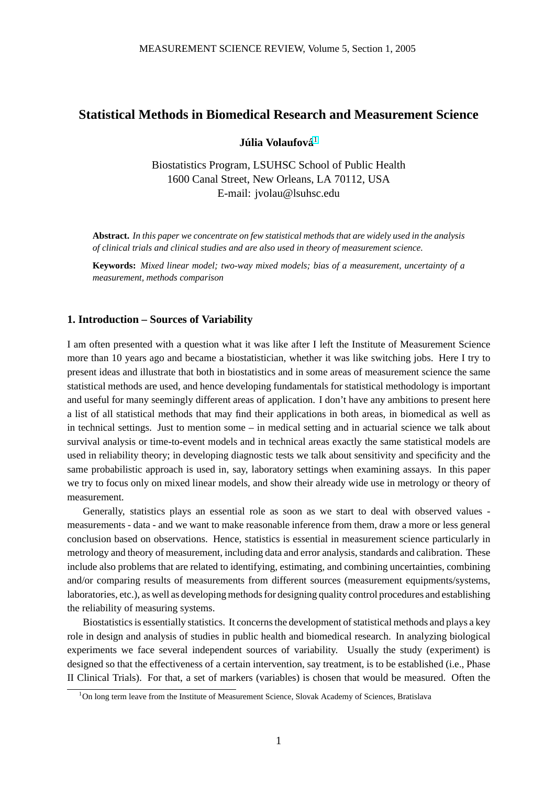# **Statistical Methods in Biomedical Research and Measurement Science**

 $J$ úlia Volaufová $^1$ 

Biostatistics Program, LSUHSC School of Public Health 1600 Canal Street, New Orleans, LA 70112, USA E-mail: jvolau@lsuhsc.edu

**Abstract.** *In this paper we concentrate on few statistical methods that are widely used in the analysis of clinical trials and clinical studies and are also used in theory of measurement science.*

**Keywords:** *Mixed linear model; two-way mixed models; bias of a measurement, uncertainty of a measurement, methods comparison*

# **1. Introduction – Sources of Variability**

I am often presented with a question what it was like after I left the Institute of Measurement Science more than 10 years ago and became a biostatistician, whether it was like switching jobs. Here I try to present ideas and illustrate that both in biostatistics and in some areas of measurement science the same statistical methods are used, and hence developing fundamentals for statistical methodology is important and useful for many seemingly different areas of application. I don't have any ambitions to present here a list of all statistical methods that may find their applications in both areas, in biomedical as well as in technical settings. Just to mention some – in medical setting and in actuarial science we talk about survival analysis or time-to-event models and in technical areas exactly the same statistical models are used in reliability theory; in developing diagnostic tests we talk about sensitivity and specificity and the same probabilistic approach is used in, say, laboratory settings when examining assays. In this paper we try to focus only on mixed linear models, and show their already wide use in metrology or theory of measurement.

Generally, statistics plays an essential role as soon as we start to deal with observed values measurements - data - and we want to make reasonable inference from them, draw a more or less general conclusion based on observations. Hence, statistics is essential in measurement science particularly in metrology and theory of measurement, including data and error analysis, standards and calibration. These include also problems that are related to identifying, estimating, and combining uncertainties, combining and/or comparing results of measurements from different sources (measurement equipments/systems, laboratories, etc.), as well as developing methods for designing quality control procedures and establishing the reliability of measuring systems.

Biostatistics is essentially statistics. It concerns the development of statistical methods and plays a key role in design and analysis of studies in public health and biomedical research. In analyzing biological experiments we face several independent sources of variability. Usually the study (experiment) is designed so that the effectiveness of a certain intervention, say treatment, is to be established (i.e., Phase II Clinical Trials). For that, a set of markers (variables) is chosen that would be measured. Often the

<sup>&</sup>lt;sup>1</sup>On long term leave from the Institute of Measurement Science, Slovak Academy of Sciences, Bratislava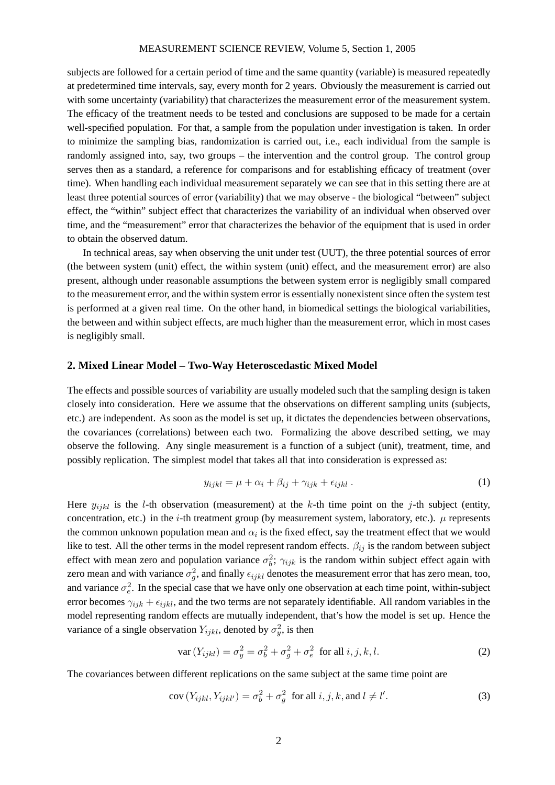<span id="page-1-0"></span>subjects are followed for a certain period of time and the same quantity (variable) is measured repeatedly at predetermined time intervals, say, every month for 2 years. Obviously the measurement is carried out with some uncertainty (variability) that characterizes the measurement error of the measurement system. The efficacy of the treatment needs to be tested and conclusions are supposed to be made for a certain well-specified population. For that, a sample from the population under investigation is taken. In order to minimize the sampling bias, randomization is carried out, i.e., each individual from the sample is randomly assigned into, say, two groups – the intervention and the control group. The control group serves then as a standard, a reference for comparisons and for establishing efficacy of treatment (over time). When handling each individual measurement separately we can see that in this setting there are at least three potential sources of error (variability) that we may observe - the biological "between" subject effect, the "within" subject effect that characterizes the variability of an individual when observed over time, and the "measurement" error that characterizes the behavior of the equipment that is used in order to obtain the observed datum.

In technical areas, say when observing the unit under test (UUT), the three potential sources of error (the between system (unit) effect, the within system (unit) effect, and the measurement error) are also present, although under reasonable assumptions the between system error is negligibly small compared to the measurement error, and the within system error is essentially nonexistent since often the system test is performed at a given real time. On the other hand, in biomedical settings the biological variabilities, the between and within subject effects, are much higher than the measurement error, which in most cases is negligibly small.

#### **2. Mixed Linear Model – Two-Way Heteroscedastic Mixed Model**

The effects and possible sources of variability are usually modeled such that the sampling design is taken closely into consideration. Here we assume that the observations on different sampling units (subjects, etc.) are independent. As soon as the model is set up, it dictates the dependencies between observations, the covariances (correlations) between each two. Formalizing the above described setting, we may observe the following. Any single measurement is a function of a subject (unit), treatment, time, and possibly replication. The simplest model that takes all that into consideration is expressed as:

$$
y_{ijkl} = \mu + \alpha_i + \beta_{ij} + \gamma_{ijk} + \epsilon_{ijkl} \tag{1}
$$

Here  $y_{ijkl}$  is the *l*-th observation (measurement) at the *k*-th time point on the *j*-th subject (entity, concentration, etc.) in the *i*-th treatment group (by measurement system, laboratory, etc.).  $\mu$  represents the common unknown population mean and  $\alpha_i$  is the fixed effect, say the treatment effect that we would like to test. All the other terms in the model represent random effects.  $\beta_{ij}$  is the random between subject effect with mean zero and population variance  $\sigma_b^2$ ;  $\gamma_{ijk}$  is the random within subject effect again with zero mean and with variance  $\sigma_g^2$ , and finally  $\epsilon_{ijkl}$  denotes the measurement error that has zero mean, too, and variance  $\sigma_e^2$ . In the special case that we have only one observation at each time point, within-subject error becomes  $\gamma_{ijk} + \epsilon_{ijkl}$ , and the two terms are not separately identifiable. All random variables in the model representing random effects are mutually independent, that's how the model is set up. Hence the variance of a single observation  $Y_{ijkl}$ , denoted by  $\sigma_y^2$ , is then

$$
\text{var}\left(Y_{ijkl}\right) = \sigma_y^2 = \sigma_b^2 + \sigma_g^2 + \sigma_e^2 \quad \text{for all } i, j, k, l. \tag{2}
$$

The covariances between different replications on the same subject at the same time point are

$$
cov(Y_{ijkl}, Y_{ijkl'}) = \sigma_b^2 + \sigma_g^2 \text{ for all } i, j, k, \text{ and } l \neq l'. \tag{3}
$$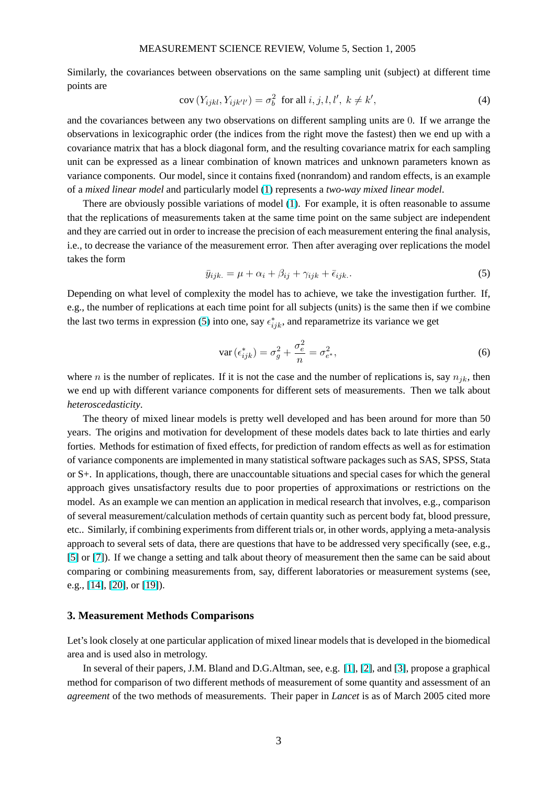#### MEASUREMENT SCIENCE REVIEW, Volume 5, Section 1, 2005

Similarly, the covariances between observations on the same sampling unit (subject) at different time points are

$$
cov(Y_{ijkl}, Y_{ijkl'}) = \sigma_b^2 \text{ for all } i, j, l, l', k \neq k', \tag{4}
$$

and the covariances between any two observations on different sampling units are 0. If we arrange the observations in lexicographic order (the indices from the right move the fastest) then we end up with a covariance matrix that has a block diagonal form, and the resulting covariance matrix for each sampling unit can be expressed as a linear combination of known matrices and unknown parameters known as variance components. Our model, since it contains fixed (nonrandom) and random effects, is an example of a *mixed linear model* and particularly model (1) represents a *two-way mixed linear model*.

There are obviously possible variations of model (1). For example, it is often reasonable to assume that the replications of measurements taken at the same time point on the same subject are independent and they are carried out in order to increase the p[rec](#page-1-0)ision of each measurement entering the final analysis, i.e., to decrease the variance of the measurement error[. T](#page-1-0)hen after averaging over replications the model takes the form

$$
\bar{y}_{ijk.} = \mu + \alpha_i + \beta_{ij} + \gamma_{ijk} + \bar{\epsilon}_{ijk.}.
$$
\n(5)

Depending on what level of complexity the model has to achieve, we take the investigation further. If, e.g., the number of replications at each time point for all subjects (units) is the same then if we combine the last two terms in expression (5) into one, say  $\epsilon_{ijk}^*$ , and reparametrize its variance we get

$$
\operatorname{var}\left(\epsilon_{ijk}^{*}\right) = \sigma_g^2 + \frac{\sigma_e^2}{n} = \sigma_{e^*}^2,\tag{6}
$$

where n is the number of replicates. If it is not the case and the number of replications is, say  $n_{jk}$ , then we end up with different variance components for different sets of measurements. Then we talk about *heteroscedasticity*.

The theory of mixed linear models is pretty well developed and has been around for more than 50 years. The origins and motivation for development of these models dates back to late thirties and early forties. Methods for estimation of fixed effects, for prediction of random effects as well as for estimation of variance components are implemented in many statistical software packages such as SAS, SPSS, Stata or S+. In applications, though, there are unaccountable situations and special cases for which the general approach gives unsatisfactory results due to poor properties of approximations or restrictions on the model. As an example we can mention an application in medical research that involves, e.g., comparison of several measurement/calculation methods of certain quantity such as percent body fat, blood pressure, etc.. Similarly, if combining experiments from different trials or, in other words, applying a meta-analysis approach to several sets of data, there are questions that have to be addressed very specifically (see, e.g., [5] or [7]). If we change a setting and talk about theory of measurement then the same can be said about comparing or combining measurements from, say, different laboratories or measurement systems (see, e.g., [14], [20], or [19]).

## **3. Measurement Methods Comparisons**

Let's look [clos](#page-9-0)ely [at on](#page-9-0)e particular application of mixed linear models that is developed in the biomedical area and is used also in metrology.

In several of their papers, J.M. Bland and D.G.Altman, see, e.g. [1], [2], and [3], propose a graphical method for comparison of two different methods of measurement of some quantity and assessment of an *agreement* of the two methods of measurements. Their paper in *Lancet* is as of March 2005 cited more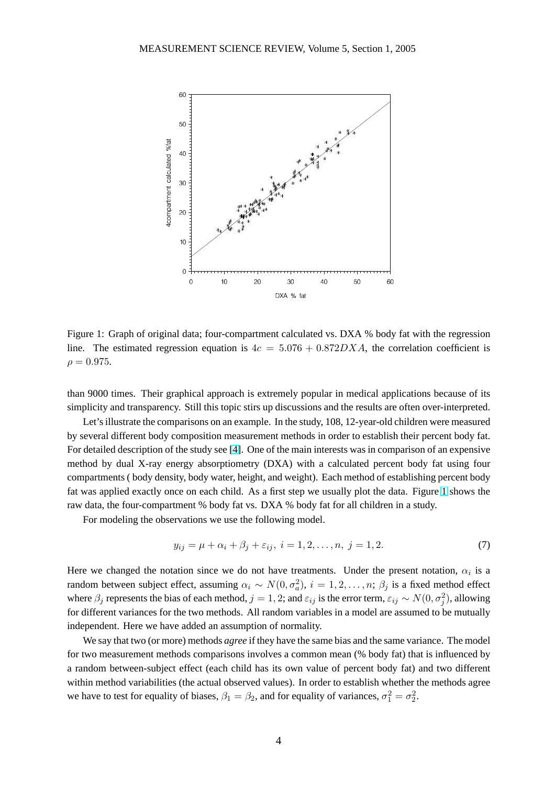<span id="page-3-0"></span>

Figure 1: Graph of original data; four-compartment calculated vs. DXA % body fat with the regression line. The estimated regression equation is  $4c = 5.076 + 0.872DXA$ , the correlation coefficient is  $\rho = 0.975$ .

than 9000 times. Their graphical approach is extremely popular in medical applications because of its simplicity and transparency. Still this topic stirs up discussions and the results are often over-interpreted.

Let's illustrate the comparisons on an example. In the study, 108, 12-year-old children were measured by several different body composition measurement methods in order to establish their percent body fat. For detailed description of the study see [4]. One of the main interests was in comparison of an expensive method by dual X-ray energy absorptiometry (DXA) with a calculated percent body fat using four compartments ( body density, body water, height, and weight). Each method of establishing percent body fat was applied exactly once on each ch[ild](#page-8-0). As a first step we usually plot the data. Figure 1 shows the raw data, the four-compartment % body fat vs. DXA % body fat for all children in a study.

For modeling the observations we use the following model.

$$
y_{ij} = \mu + \alpha_i + \beta_j + \varepsilon_{ij}, \ i = 1, 2, \dots, n, \ j = 1, 2. \tag{7}
$$

Here we changed the notation since we do not have treatments. Under the present notation,  $\alpha_i$  is a random between subject effect, assuming  $\alpha_i \sim N(0, \sigma_a^2)$ ,  $i = 1, 2, \dots, n$ ;  $\beta_j$  is a fixed method effect where  $\beta_j$  represents the bias of each method,  $j=1,2;$  and  $\varepsilon_{ij}$  is the error term,  $\varepsilon_{ij} \sim N(0,\sigma_j^2)$ , allowing for different variances for the two methods. All random variables in a model are assumed to be mutually independent. Here we have added an assumption of normality.

We say that two (or more) methods *agree* if they have the same bias and the same variance. The model for two measurement methods comparisons involves a common mean (% body fat) that is influenced by a random between-subject effect (each child has its own value of percent body fat) and two different within method variabilities (the actual observed values). In order to establish whether the methods agree we have to test for equality of biases,  $\beta_1 = \beta_2$ , and for equality of variances,  $\sigma_1^2 = \sigma_2^2$ .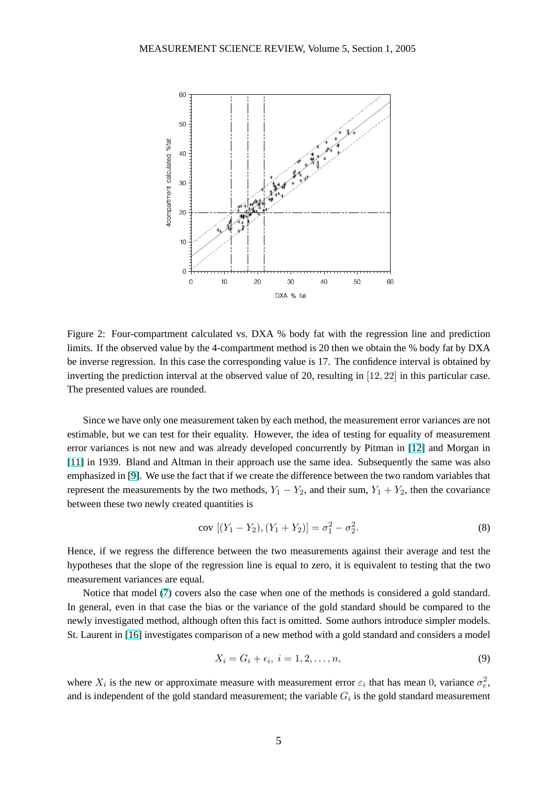<span id="page-4-0"></span>

Figure 2: Four-compartment calculated vs. DXA % body fat with the regression line and prediction limits. If the observed value by the 4-compartment method is 20 then we obtain the % body fat by DXA be inverse regression. In this case the corresponding value is 17. The confidence interval is obtained by inverting the prediction interval at the observed value of 20, resulting in [12, 22] in this particular case. The presented values are rounded.

Since we have only one measurement taken by each method, the measurement error variances are not estimable, but we can test for their equality. However, the idea of testing for equality of measurement error variances is not new and was already developed concurrently by Pitman in [12] and Morgan in [11] in 1939. Bland and Altman in their approach use the same idea. Subsequently the same was also emphasized in [9]. We use the fact that if we create the difference between the two random variables that represent [the](#page-8-0) measurements by the two methods,  $Y_1 - Y_2$ , and their sum,  $Y_1 + Y_2$ , then the covariance [betw](#page-8-0)een these two newly created quantities is

$$
cov [(Y_1 - Y_2), (Y_1 + Y_2)] = \sigma_1^2 - \sigma_2^2.
$$
\n(8)

Hence, if we regress the difference between the two measurements against their average and test the hypotheses that the slope of the regression line is equal to zero, it is equivalent to testing that the two measurement variances are equal.

Notice that model (7) covers also the case when one of the methods is considered a gold standard. In general, even in that case the bias or the variance of the gold standard should be compared to the newly investigated method, although often this fact is omitted. Some authors introduce simpler models. St. Laurent in [16] inve[sti](#page-3-0)gates comparison of a new method with a gold standard and considers a model

$$
X_i = G_i + \epsilon_i, \ i = 1, 2, \dots, n,
$$
\n<sup>(9)</sup>

where  $X_i$  is th[e ne](#page-9-0)w or approximate measure with measurement error  $\varepsilon_i$  that has mean 0, variance  $\sigma_e^2$ , and is independent of the gold standard measurement; the variable  $G_i$  is the gold standard measurement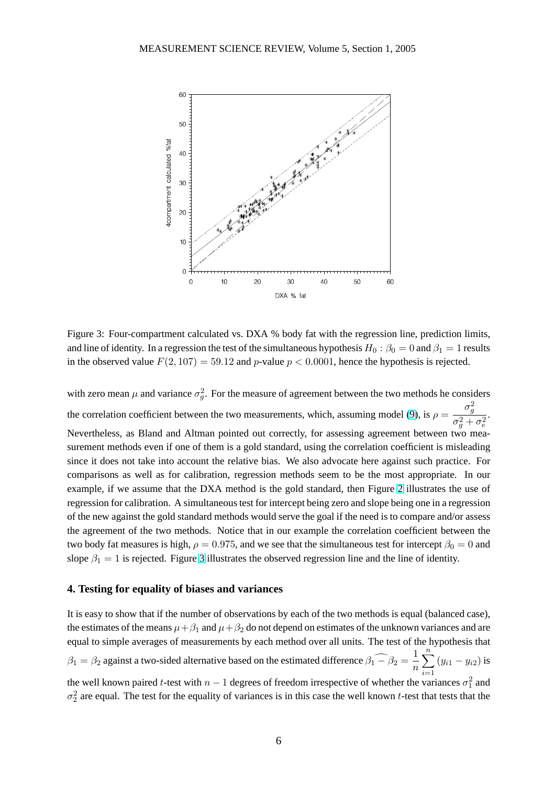

Figure 3: Four-compartment calculated vs. DXA % body fat with the regression line, prediction limits, and line of identity. In a regression the test of the simultaneous hypothesis  $H_0$ :  $\beta_0 = 0$  and  $\beta_1 = 1$  results in the observed value  $F(2, 107) = 59.12$  and p-value  $p < 0.0001$ , hence the hypothesis is rejected.

with zero mean  $\mu$  and variance  $\sigma_g^2$ . For the measure of agreement between the two methods he considers the correlation coefficient between the two measurements, which, assuming model (9), is  $\rho =$  $\sigma_g^2$  $\sigma_g^2+\sigma_e^2$ . Nevertheless, as Bland and Altman pointed out correctly, for assessing agreement between two measurement methods even if one of them is a gold standard, using the correlation coefficient is misleading since it does not take into account the relative bias. We also advocate here agains[t s](#page-4-0)uch practice. For comparisons as well as for calibration, regression methods seem to be the most appropriate. In our example, if we assume that the DXA method is the gold standard, then Figure 2 illustrates the use of regression for calibration. A simultaneous test for intercept being zero and slope being one in a regression of the new against the gold standard methods would serve the goal if the need is to compare and/or assess the agreement of the two methods. Notice that in our example the correlation [co](#page-4-0)efficient between the two body fat measures is high,  $\rho = 0.975$ , and we see that the simultaneous test for intercept  $\beta_0 = 0$  and slope  $\beta_1 = 1$  is rejected. Figure 3 illustrates the observed regression line and the line of identity.

## **4. Testing for equality of biases and variances**

It is easy to show that if the number of observations by each of the two methods is equal (balanced case), the estimates of the means  $\mu + \beta_1$  and  $\mu + \beta_2$  do not depend on estimates of the unknown variances and are equal to simple averages of measurements by each method over all units. The test of the hypothesis that  $\beta_1 = \beta_2$  against a two-sided alternative based on the estimated difference  $\beta_1 - \beta_2 = \frac{1}{n}$ n  $\frac{n}{\sqrt{2}}$  $\frac{i=1}{i}$  $(y_{i1} - y_{i2})$  is the well known paired t-test with  $n-1$  degrees of freedom irrespective of whether the variances  $\sigma_1^2$  and  $\sigma_2^2$  are equal. The test for the equality of variances is in this case the well known t-test that tests that the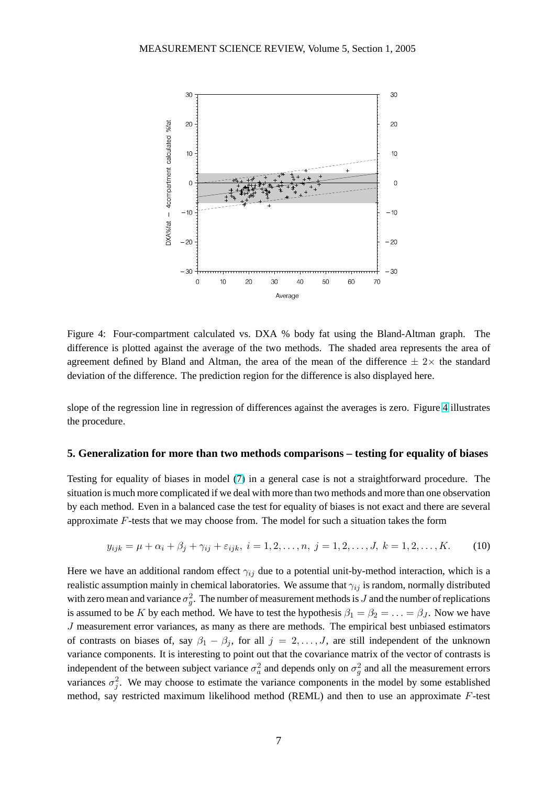

Figure 4: Four-compartment calculated vs. DXA % body fat using the Bland-Altman graph. The difference is plotted against the average of the two methods. The shaded area represents the area of agreement defined by Bland and Altman, the area of the mean of the difference  $\pm 2\times$  the standard deviation of the difference. The prediction region for the difference is also displayed here.

slope of the regression line in regression of differences against the averages is zero. Figure 4 illustrates the procedure.

## **5. Generalization for more than two methods comparisons – testing for equality of biases**

Testing for equality of biases in model (7) in a general case is not a straightforward procedure. The situation is much more complicated if we deal with more than two methods and more than one observation by each method. Even in a balanced case the test for equality of biases is not exact and there are several approximate F-tests that we may choose [fro](#page-3-0)m. The model for such a situation takes the form

$$
y_{ijk} = \mu + \alpha_i + \beta_j + \gamma_{ij} + \varepsilon_{ijk}, \ i = 1, 2, \dots, n, \ j = 1, 2, \dots, J, \ k = 1, 2, \dots, K.
$$
 (10)

Here we have an additional random effect  $\gamma_{ij}$  due to a potential unit-by-method interaction, which is a realistic assumption mainly in chemical laboratories. We assume that  $\gamma_{ij}$  is random, normally distributed with zero mean and variance  $\sigma_g^2$ . The number of measurement methods is J and the number of replications is assumed to be K by each method. We have to test the hypothesis  $\beta_1 = \beta_2 = \ldots = \beta_J$ . Now we have J measurement error variances, as many as there are methods. The empirical best unbiased estimators of contrasts on biases of, say  $\beta_1 - \beta_j$ , for all  $j = 2, \ldots, J$ , are still independent of the unknown variance components. It is interesting to point out that the covariance matrix of the vector of contrasts is independent of the between subject variance  $\sigma_a^2$  and depends only on  $\sigma_g^2$  and all the measurement errors variances  $\sigma_j^2$ . We may choose to estimate the variance components in the model by some established method, say restricted maximum likelihood method (REML) and then to use an approximate  $F$ -test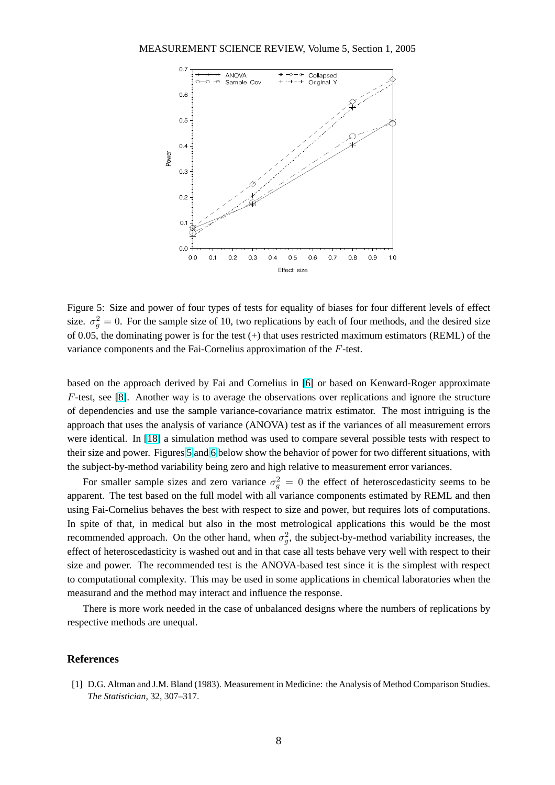#### MEASUREMENT SCIENCE REVIEW, Volume 5, Section 1, 2005



Figure 5: Size and power of four types of tests for equality of biases for four different levels of effect size.  $\sigma_g^2 = 0$ . For the sample size of 10, two replications by each of four methods, and the desired size of 0.05, the dominating power is for the test  $(+)$  that uses restricted maximum estimators (REML) of the variance components and the Fai-Cornelius approximation of the F-test.

based on the approach derived by Fai and Cornelius in [6] or based on Kenward-Roger approximate F-test, see [8]. Another way is to average the observations over replications and ignore the structure of dependencies and use the sample variance-covariance matrix estimator. The most intriguing is the approach that uses the analysis of variance (ANOVA) test [a](#page-8-0)s if the variances of all measurement errors were identi[cal](#page-8-0). In [18] a simulation method was used to compare several possible tests with respect to their size and power. Figures 5 and 6 below show the behavior of power for two different situations, with the subject-by-method variability being zero and high relative to measurement error variances.

For smaller sa[mpl](#page-9-0)e sizes and zero variance  $\sigma_g^2 = 0$  the effect of heteroscedasticity seems to be apparent. The test based on the fu[ll m](#page-8-0)odel with all variance components estimated by REML and then using Fai-Cornelius behaves the best with respect to size and power, but requires lots of computations. In spite of that, in medical but also in the most metrological applications this would be the most recommended approach. On the other hand, when  $\sigma_g^2$ , the subject-by-method variability increases, the effect of heteroscedasticity is washed out and in that case all tests behave very well with respect to their size and power. The recommended test is the ANOVA-based test since it is the simplest with respect to computational complexity. This may be used in some applications in chemical laboratories when the measurand and the method may interact and influence the response.

There is more work needed in the case of unbalanced designs where the numbers of replications by respective methods are unequal.

#### **References**

[1] D.G. Altman and J.M. Bland (1983). Measurement in Medicine: the Analysis of Method Comparison Studies. *The Statistician*, 32, 307–317.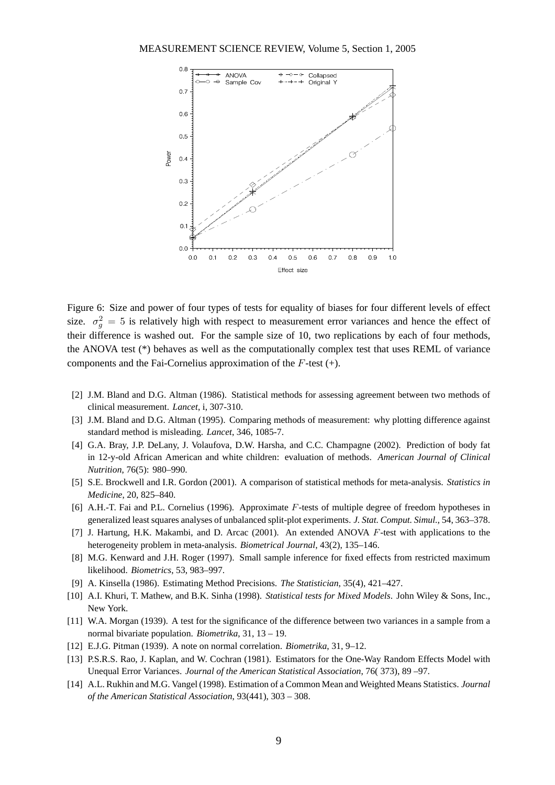<span id="page-8-0"></span>

Figure 6: Size and power of four types of tests for equality of biases for four different levels of effect size.  $\sigma_g^2 = 5$  is relatively high with respect to measurement error variances and hence the effect of their difference is washed out. For the sample size of 10, two replications by each of four methods, the ANOVA test (\*) behaves as well as the computationally complex test that uses REML of variance components and the Fai-Cornelius approximation of the  $F$ -test  $(+)$ .

- [2] J.M. Bland and D.G. Altman (1986). Statistical methods for assessing agreement between two methods of clinical measurement. *Lancet*, i, 307-310.
- [3] J.M. Bland and D.G. Altman (1995). Comparing methods of measurement: why plotting difference against standard method is misleading. *Lancet*, 346, 1085-7.
- [4] G.A. Bray, J.P. DeLany, J. Volaufova, D.W. Harsha, and C.C. Champagne (2002). Prediction of body fat in 12-y-old African American and white children: evaluation of methods. *American Journal of Clinical Nutrition*, 76(5): 980–990.
- [5] S.E. Brockwell and I.R. Gordon (2001). A comparison of statistical methods for meta-analysis. *Statistics in Medicine*, 20, 825–840.
- [6] A.H.-T. Fai and P.L. Cornelius (1996). Approximate F-tests of multiple degree of freedom hypotheses in generalized least squares analyses of unbalanced split-plot experiments. *J. Stat. Comput. Simul.*, 54, 363–378.
- [7] J. Hartung, H.K. Makambi, and D. Arcac (2001). An extended ANOVA F-test with applications to the heterogeneity problem in meta-analysis. *Biometrical Journal*, 43(2), 135–146.
- [8] M.G. Kenward and J.H. Roger (1997). Small sample inference for fixed effects from restricted maximum likelihood. *Biometrics*, 53, 983–997.
- [9] A. Kinsella (1986). Estimating Method Precisions. *The Statistician*, 35(4), 421–427.
- [10] A.I. Khuri, T. Mathew, and B.K. Sinha (1998). *Statistical tests for Mixed Models*. John Wiley & Sons, Inc., New York.
- [11] W.A. Morgan (1939). A test for the significance of the difference between two variances in a sample from a normal bivariate population. *Biometrika*, 31, 13 – 19.
- [12] E.J.G. Pitman (1939). A note on normal correlation. *Biometrika*, 31, 9–12.
- [13] P.S.R.S. Rao, J. Kaplan, and W. Cochran (1981). Estimators for the One-Way Random Effects Model with Unequal Error Variances. *Journal of the American Statistical Association*, 76( 373), 89 –97.
- [14] A.L. Rukhin and M.G. Vangel (1998). Estimation of a Common Mean and Weighted Means Statistics. *Journal of the American Statistical Association*, 93(441), 303 – 308.